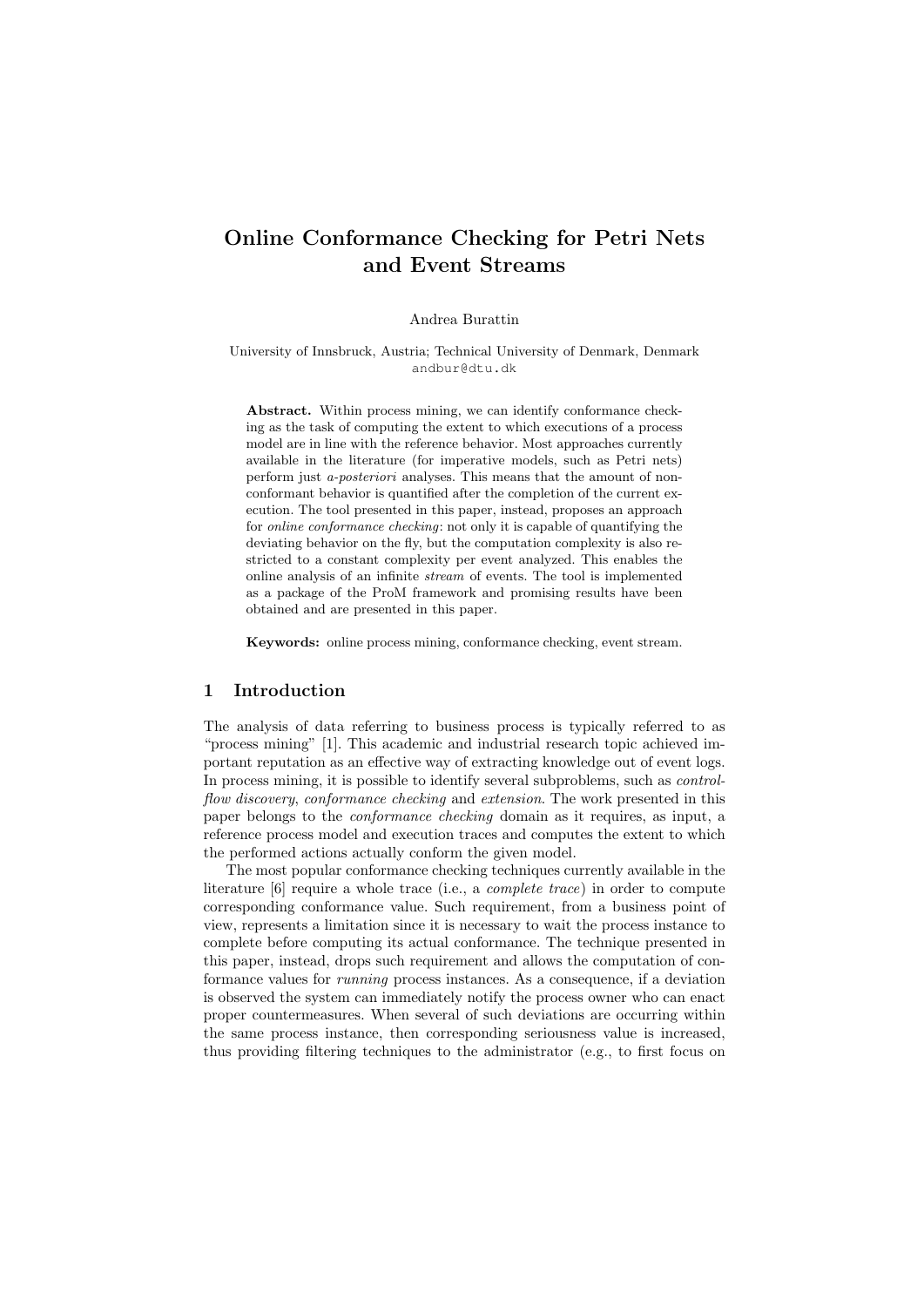# Online Conformance Checking for Petri Nets and Event Streams

#### Andrea Burattin

University of Innsbruck, Austria; Technical University of Denmark, Denmark andbur@dtu.dk

Abstract. Within process mining, we can identify conformance checking as the task of computing the extent to which executions of a process model are in line with the reference behavior. Most approaches currently available in the literature (for imperative models, such as Petri nets) perform just *a-posteriori* analyses. This means that the amount of nonconformant behavior is quantified after the completion of the current execution. The tool presented in this paper, instead, proposes an approach for *online conformance checking*: not only it is capable of quantifying the deviating behavior on the fly, but the computation complexity is also restricted to a constant complexity per event analyzed. This enables the online analysis of an infinite *stream* of events. The tool is implemented as a package of the ProM framework and promising results have been obtained and are presented in this paper.

Keywords: online process mining, conformance checking, event stream.

## 1 Introduction

The analysis of data referring to business process is typically referred to as "process mining" [1]. This academic and industrial research topic achieved important reputation as an effective way of extracting knowledge out of event logs. In process mining, it is possible to identify several subproblems, such as *controlflow discovery*, *conformance checking* and *extension*. The work presented in this paper belongs to the *conformance checking* domain as it requires, as input, a reference process model and execution traces and computes the extent to which the performed actions actually conform the given model.

The most popular conformance checking techniques currently available in the literature [6] require a whole trace (i.e., a *complete trace*) in order to compute corresponding conformance value. Such requirement, from a business point of view, represents a limitation since it is necessary to wait the process instance to complete before computing its actual conformance. The technique presented in this paper, instead, drops such requirement and allows the computation of conformance values for *running* process instances. As a consequence, if a deviation is observed the system can immediately notify the process owner who can enact proper countermeasures. When several of such deviations are occurring within the same process instance, then corresponding seriousness value is increased, thus providing filtering techniques to the administrator (e.g., to first focus on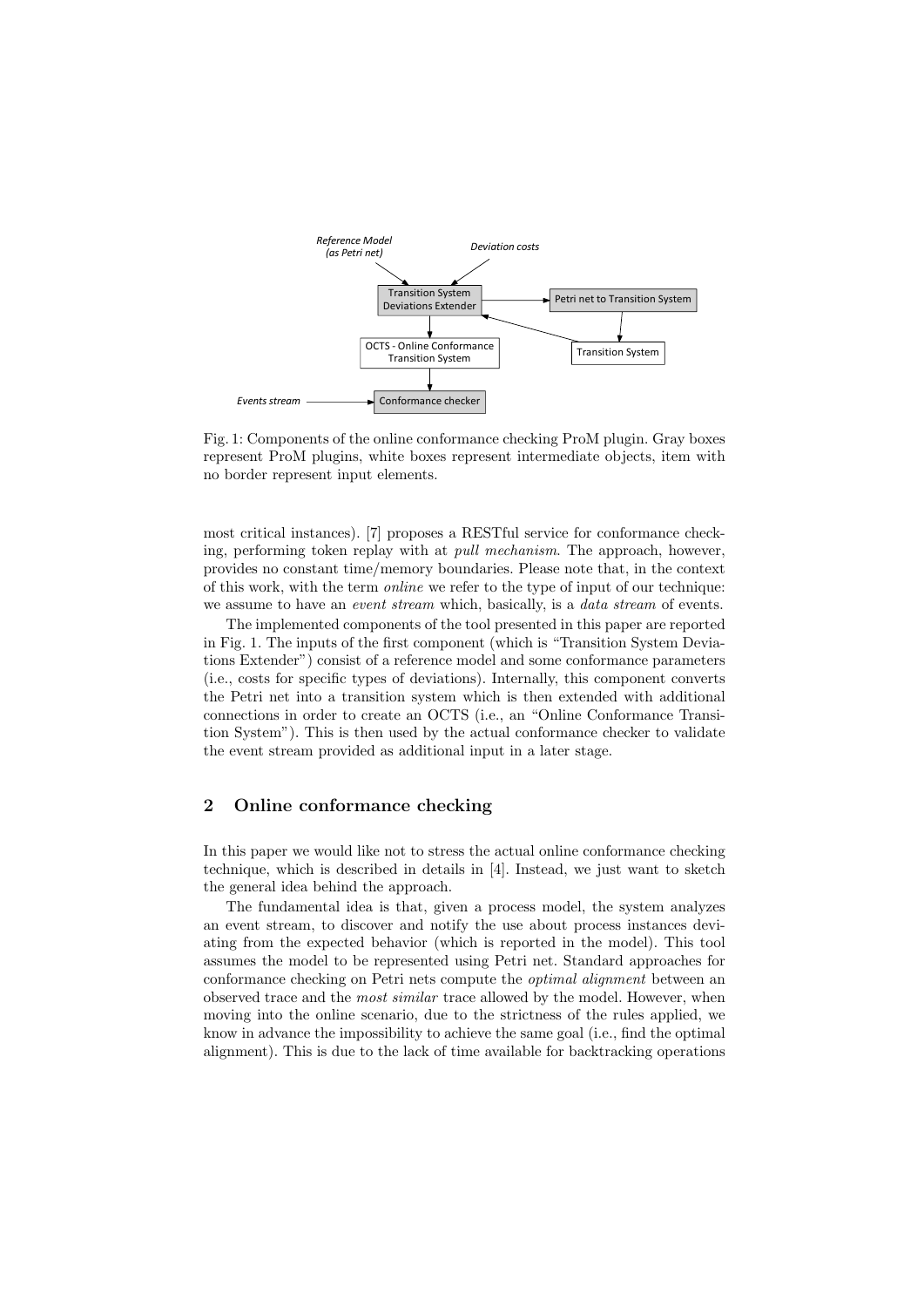

Fig. 1: Components of the online conformance checking ProM plugin. Gray boxes represent ProM plugins, white boxes represent intermediate objects, item with no border represent input elements.

most critical instances). [7] proposes a RESTful service for conformance checking, performing token replay with at *pull mechanism*. The approach, however, provides no constant time/memory boundaries. Please note that, in the context of this work, with the term *online* we refer to the type of input of our technique: we assume to have an *event stream* which, basically, is a *data stream* of events.

The implemented components of the tool presented in this paper are reported in Fig. 1. The inputs of the first component (which is "Transition System Deviations Extender") consist of a reference model and some conformance parameters (i.e., costs for specific types of deviations). Internally, this component converts the Petri net into a transition system which is then extended with additional connections in order to create an OCTS (i.e., an "Online Conformance Transition System"). This is then used by the actual conformance checker to validate the event stream provided as additional input in a later stage.

# 2 Online conformance checking

In this paper we would like not to stress the actual online conformance checking technique, which is described in details in [4]. Instead, we just want to sketch the general idea behind the approach.

The fundamental idea is that, given a process model, the system analyzes an event stream, to discover and notify the use about process instances deviating from the expected behavior (which is reported in the model). This tool assumes the model to be represented using Petri net. Standard approaches for conformance checking on Petri nets compute the *optimal alignment* between an observed trace and the *most similar* trace allowed by the model. However, when moving into the online scenario, due to the strictness of the rules applied, we know in advance the impossibility to achieve the same goal (i.e., find the optimal alignment). This is due to the lack of time available for backtracking operations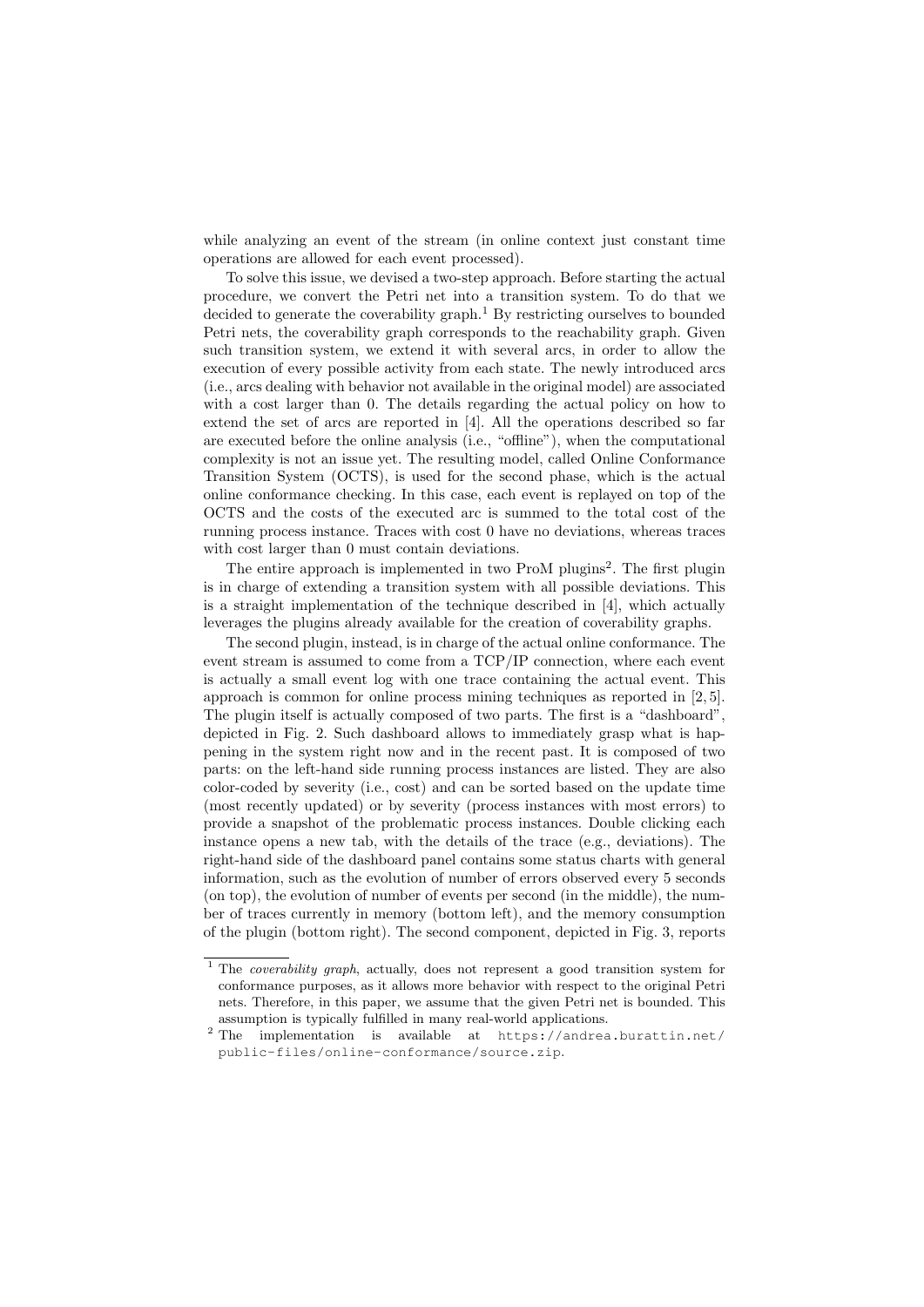while analyzing an event of the stream (in online context just constant time operations are allowed for each event processed).

To solve this issue, we devised a two-step approach. Before starting the actual procedure, we convert the Petri net into a transition system. To do that we decided to generate the coverability graph.<sup>1</sup> By restricting ourselves to bounded Petri nets, the coverability graph corresponds to the reachability graph. Given such transition system, we extend it with several arcs, in order to allow the execution of every possible activity from each state. The newly introduced arcs (i.e., arcs dealing with behavior not available in the original model) are associated with a cost larger than 0. The details regarding the actual policy on how to extend the set of arcs are reported in [4]. All the operations described so far are executed before the online analysis (i.e., "offline"), when the computational complexity is not an issue yet. The resulting model, called Online Conformance Transition System (OCTS), is used for the second phase, which is the actual online conformance checking. In this case, each event is replayed on top of the OCTS and the costs of the executed arc is summed to the total cost of the running process instance. Traces with cost 0 have no deviations, whereas traces with cost larger than 0 must contain deviations.

The entire approach is implemented in two ProM plugins<sup>2</sup>. The first plugin is in charge of extending a transition system with all possible deviations. This is a straight implementation of the technique described in [4], which actually leverages the plugins already available for the creation of coverability graphs.

The second plugin, instead, is in charge of the actual online conformance. The event stream is assumed to come from a TCP/IP connection, where each event is actually a small event log with one trace containing the actual event. This approach is common for online process mining techniques as reported in [2, 5]. The plugin itself is actually composed of two parts. The first is a "dashboard", depicted in Fig. 2. Such dashboard allows to immediately grasp what is happening in the system right now and in the recent past. It is composed of two parts: on the left-hand side running process instances are listed. They are also color-coded by severity (i.e., cost) and can be sorted based on the update time (most recently updated) or by severity (process instances with most errors) to provide a snapshot of the problematic process instances. Double clicking each instance opens a new tab, with the details of the trace (e.g., deviations). The right-hand side of the dashboard panel contains some status charts with general information, such as the evolution of number of errors observed every 5 seconds (on top), the evolution of number of events per second (in the middle), the number of traces currently in memory (bottom left), and the memory consumption of the plugin (bottom right). The second component, depicted in Fig. 3, reports

<sup>&</sup>lt;sup>1</sup> The *coverability graph*, actually, does not represent a good transition system for conformance purposes, as it allows more behavior with respect to the original Petri nets. Therefore, in this paper, we assume that the given Petri net is bounded. This assumption is typically fulfilled in many real-world applications.

<sup>&</sup>lt;sup>2</sup> The implementation is available at https://andrea.burattin.net/ public-files/online-conformance/source.zip.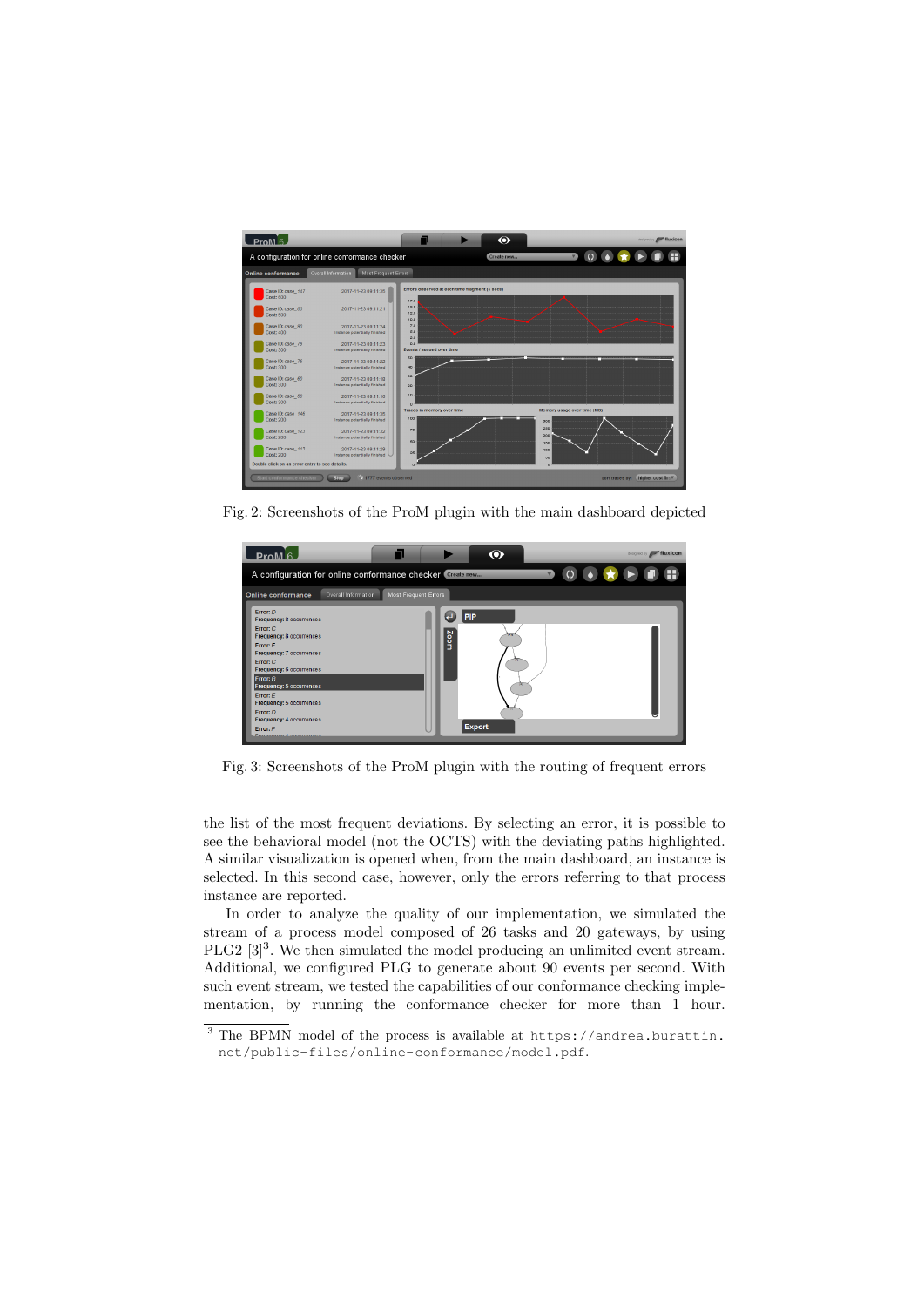

Fig. 2: Screenshots of the ProM plugin with the main dashboard depicted



Fig. 3: Screenshots of the ProM plugin with the routing of frequent errors

the list of the most frequent deviations. By selecting an error, it is possible to see the behavioral model (not the OCTS) with the deviating paths highlighted. A similar visualization is opened when, from the main dashboard, an instance is selected. In this second case, however, only the errors referring to that process instance are reported.

In order to analyze the quality of our implementation, we simulated the stream of a process model composed of 26 tasks and 20 gateways, by using PLG2  $[3]^3$ . We then simulated the model producing an unlimited event stream. Additional, we configured PLG to generate about 90 events per second. With such event stream, we tested the capabilities of our conformance checking implementation, by running the conformance checker for more than 1 hour.

<sup>3</sup> The BPMN model of the process is available at https://andrea.burattin. net/public-files/online-conformance/model.pdf.